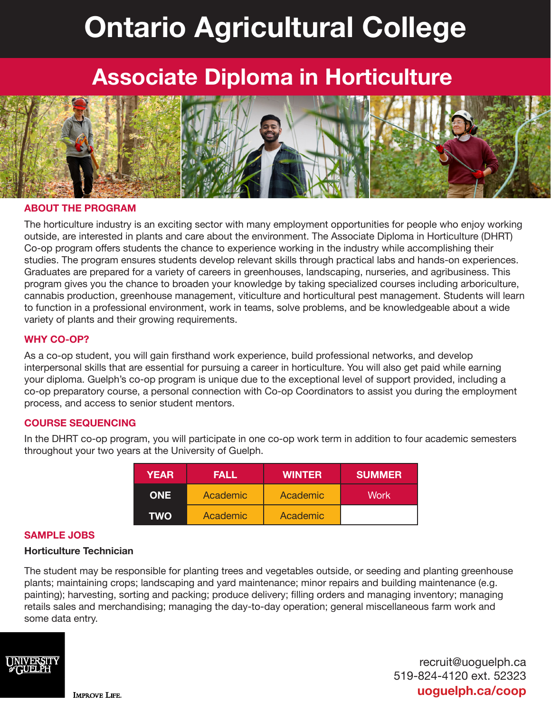# **Ontario Agricultural College**

## **Associate Diploma in Horticulture**



#### **ABOUT THE PROGRAM**

The horticulture industry is an exciting sector with many employment opportunities for people who enjoy working outside, are interested in plants and care about the environment. The Associate Diploma in Horticulture (DHRT) Co-op program offers students the chance to experience working in the industry while accomplishing their studies. The program ensures students develop relevant skills through practical labs and hands-on experiences. Graduates are prepared for a variety of careers in greenhouses, landscaping, nurseries, and agribusiness. This program gives you the chance to broaden your knowledge by taking specialized courses including arboriculture, cannabis production, greenhouse management, viticulture and horticultural pest management. Students will learn to function in a professional environment, work in teams, solve problems, and be knowledgeable about a wide variety of plants and their growing requirements.

#### **WHY CO-OP?**

As a co-op student, you will gain firsthand work experience, build professional networks, and develop interpersonal skills that are essential for pursuing a career in horticulture. You will also get paid while earning your diploma. Guelph's co-op program is unique due to the exceptional level of support provided, including a co-op preparatory course, a personal connection with Co-op Coordinators to assist you during the employment process, and access to senior student mentors.

#### **COURSE SEQUENCING**

In the DHRT co-op program, you will participate in one co-op work term in addition to four academic semesters throughout your two years at the University of Guelph.

| <b>YEAR</b> | <b>FALL</b> | <b>WINTER</b> | <b>SUMMER</b> |
|-------------|-------------|---------------|---------------|
| <b>ONE</b>  | Academic    | Academic      | Work          |
| <b>TWO</b>  | Academic    | Academic      |               |

#### **SAMPLE JOBS**

#### **Horticulture Technician**

The student may be responsible for planting trees and vegetables outside, or seeding and planting greenhouse plants; maintaining crops; landscaping and yard maintenance; minor repairs and building maintenance (e.g. painting); harvesting, sorting and packing; produce delivery; filling orders and managing inventory; managing retails sales and merchandising; managing the day-to-day operation; general miscellaneous farm work and some data entry.



recruit@uoguelph.ca 519-824-4120 ext. 52323 **uoguelph.ca/coop**